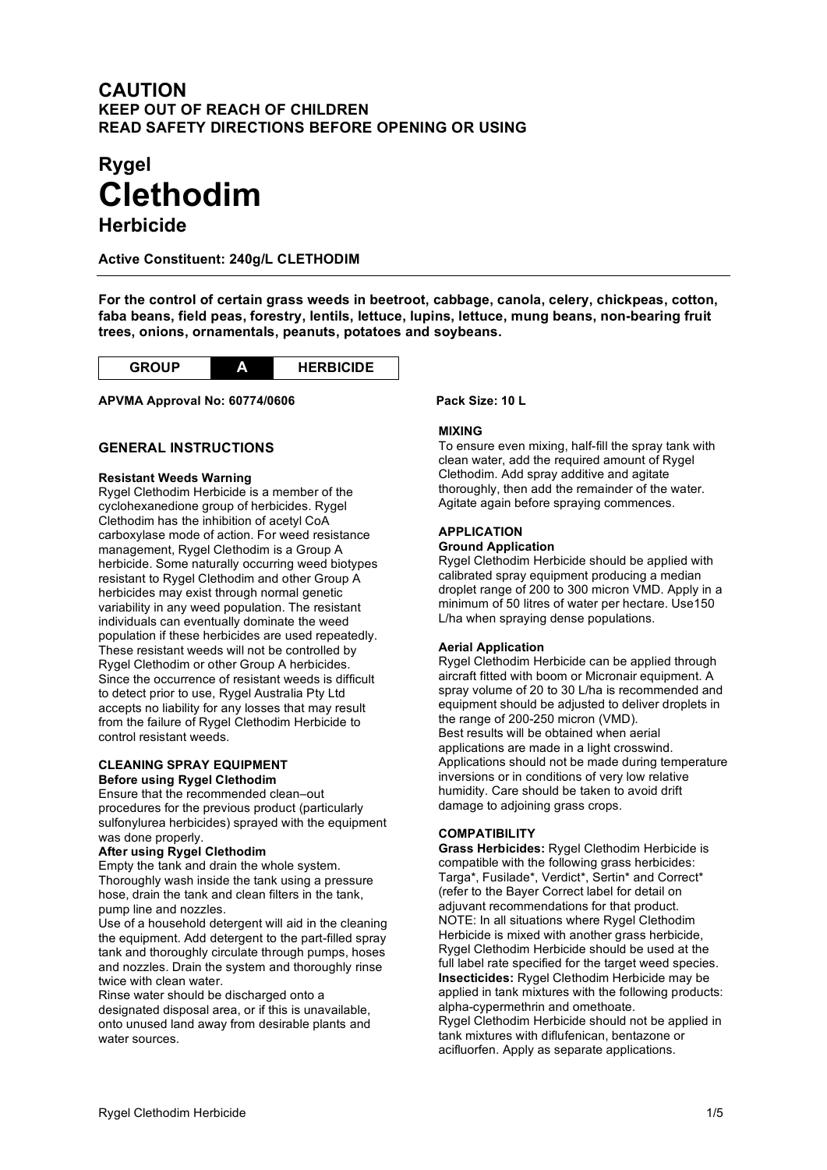# **CAUTION KEEP OUT OF REACH OF CHILDREN READ SAFETY DIRECTIONS BEFORE OPENING OR USING**

# **Rygel Clethodim**

**Herbicide**

**Active Constituent: 240g/L CLETHODIM**

**For the control of certain grass weeds in beetroot, cabbage, canola, celery, chickpeas, cotton, faba beans, field peas, forestry, lentils, lettuce, lupins, lettuce, mung beans, non-bearing fruit trees, onions, ornamentals, peanuts, potatoes and soybeans.**



## **APVMA Approval No: 60774/0606 Pack Size: 10 L**

# **GENERAL INSTRUCTIONS**

#### **Resistant Weeds Warning**

Rygel Clethodim Herbicide is a member of the cyclohexanedione group of herbicides. Rygel Clethodim has the inhibition of acetyl CoA carboxylase mode of action. For weed resistance management, Rygel Clethodim is a Group A herbicide. Some naturally occurring weed biotypes resistant to Rygel Clethodim and other Group A herbicides may exist through normal genetic variability in any weed population. The resistant individuals can eventually dominate the weed population if these herbicides are used repeatedly. These resistant weeds will not be controlled by Rygel Clethodim or other Group A herbicides. Since the occurrence of resistant weeds is difficult to detect prior to use, Rygel Australia Pty Ltd accepts no liability for any losses that may result from the failure of Rygel Clethodim Herbicide to control resistant weeds.

#### **CLEANING SPRAY EQUIPMENT Before using Rygel Clethodim**

Ensure that the recommended clean–out procedures for the previous product (particularly sulfonylurea herbicides) sprayed with the equipment was done properly.

## **After using Rygel Clethodim**

Empty the tank and drain the whole system. Thoroughly wash inside the tank using a pressure hose, drain the tank and clean filters in the tank, pump line and nozzles.

Use of a household detergent will aid in the cleaning the equipment. Add detergent to the part-filled spray tank and thoroughly circulate through pumps, hoses and nozzles. Drain the system and thoroughly rinse twice with clean water.

Rinse water should be discharged onto a designated disposal area, or if this is unavailable, onto unused land away from desirable plants and water sources.

#### **MIXING**

To ensure even mixing, half-fill the spray tank with clean water, add the required amount of Rygel Clethodim. Add spray additive and agitate thoroughly, then add the remainder of the water. Agitate again before spraying commences.

## **APPLICATION**

#### **Ground Application**

Rygel Clethodim Herbicide should be applied with calibrated spray equipment producing a median droplet range of 200 to 300 micron VMD. Apply in a minimum of 50 litres of water per hectare. Use150 L/ha when spraying dense populations.

#### **Aerial Application**

Rygel Clethodim Herbicide can be applied through aircraft fitted with boom or Micronair equipment. A spray volume of 20 to 30 L/ha is recommended and equipment should be adjusted to deliver droplets in the range of 200-250 micron (VMD). Best results will be obtained when aerial applications are made in a light crosswind. Applications should not be made during temperature inversions or in conditions of very low relative humidity. Care should be taken to avoid drift damage to adjoining grass crops.

## **COMPATIBILITY**

**Grass Herbicides:** Rygel Clethodim Herbicide is compatible with the following grass herbicides: Targa\*, Fusilade\*, Verdict\*, Sertin\* and Correct\* (refer to the Bayer Correct label for detail on adjuvant recommendations for that product. NOTE: In all situations where Rygel Clethodim Herbicide is mixed with another grass herbicide, Rygel Clethodim Herbicide should be used at the full label rate specified for the target weed species. **Insecticides:** Rygel Clethodim Herbicide may be applied in tank mixtures with the following products: alpha-cypermethrin and omethoate. Rygel Clethodim Herbicide should not be applied in

tank mixtures with diflufenican, bentazone or acifluorfen. Apply as separate applications.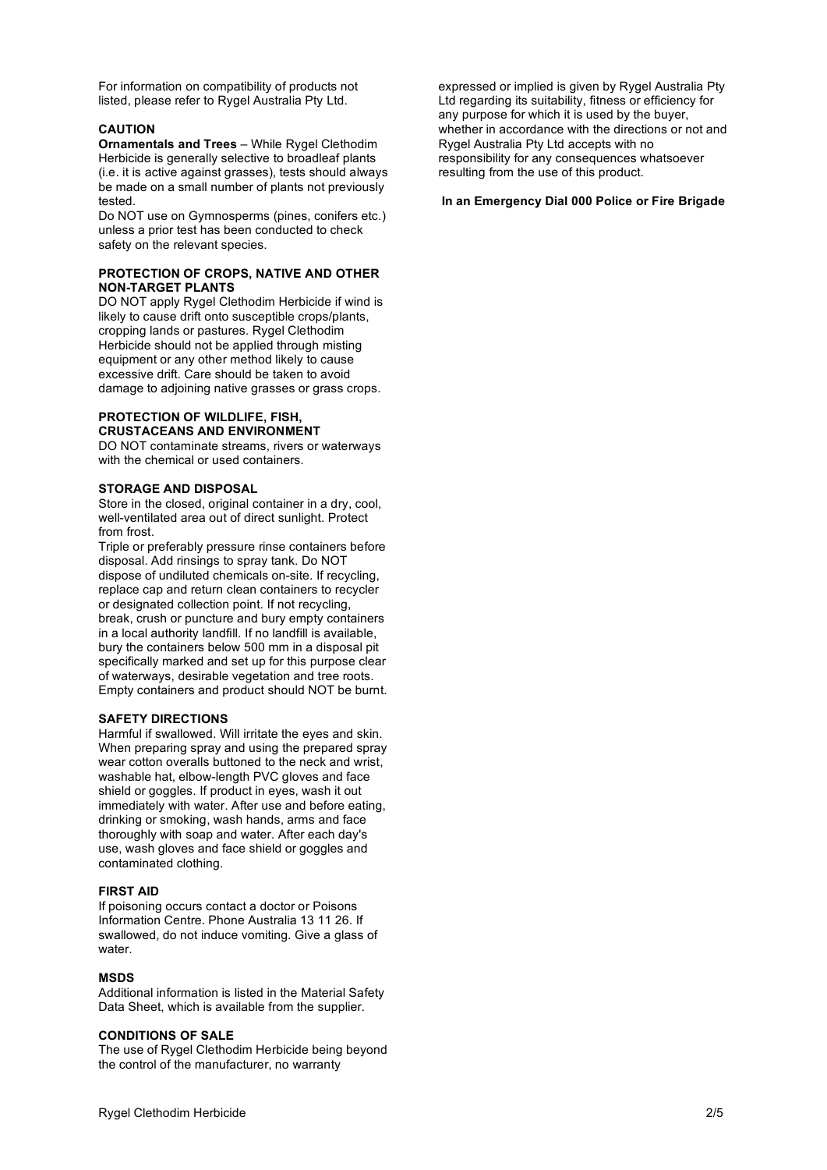For information on compatibility of products not listed, please refer to Rygel Australia Pty Ltd.

#### **CAUTION**

**Ornamentals and Trees** – While Rygel Clethodim Herbicide is generally selective to broadleaf plants (i.e. it is active against grasses), tests should always be made on a small number of plants not previously tested.

Do NOT use on Gymnosperms (pines, conifers etc.) unless a prior test has been conducted to check safety on the relevant species.

#### **PROTECTION OF CROPS, NATIVE AND OTHER NON-TARGET PLANTS**

DO NOT apply Rygel Clethodim Herbicide if wind is likely to cause drift onto susceptible crops/plants, cropping lands or pastures. Rygel Clethodim Herbicide should not be applied through misting equipment or any other method likely to cause excessive drift. Care should be taken to avoid damage to adjoining native grasses or grass crops.

#### **PROTECTION OF WILDLIFE, FISH, CRUSTACEANS AND ENVIRONMENT**

DO NOT contaminate streams, rivers or waterways with the chemical or used containers.

#### **STORAGE AND DISPOSAL**

Store in the closed, original container in a dry, cool, well-ventilated area out of direct sunlight. Protect from frost.

Triple or preferably pressure rinse containers before disposal. Add rinsings to spray tank. Do NOT dispose of undiluted chemicals on-site. If recycling, replace cap and return clean containers to recycler or designated collection point. If not recycling, break, crush or puncture and bury empty containers in a local authority landfill. If no landfill is available, bury the containers below 500 mm in a disposal pit specifically marked and set up for this purpose clear of waterways, desirable vegetation and tree roots. Empty containers and product should NOT be burnt.

#### **SAFETY DIRECTIONS**

Harmful if swallowed. Will irritate the eyes and skin. When preparing spray and using the prepared spray wear cotton overalls buttoned to the neck and wrist, washable hat, elbow-length PVC gloves and face shield or goggles. If product in eyes, wash it out immediately with water. After use and before eating, drinking or smoking, wash hands, arms and face thoroughly with soap and water. After each day's use, wash gloves and face shield or goggles and contaminated clothing.

#### **FIRST AID**

If poisoning occurs contact a doctor or Poisons Information Centre. Phone Australia 13 11 26. If swallowed, do not induce vomiting. Give a glass of water.

#### **MSDS**

Additional information is listed in the Material Safety Data Sheet, which is available from the supplier.

#### **CONDITIONS OF SALE**

The use of Rygel Clethodim Herbicide being beyond the control of the manufacturer, no warranty

expressed or implied is given by Rygel Australia Pty Ltd regarding its suitability, fitness or efficiency for any purpose for which it is used by the buyer, whether in accordance with the directions or not and Rygel Australia Pty Ltd accepts with no responsibility for any consequences whatsoever resulting from the use of this product.

#### **In an Emergency Dial 000 Police or Fire Brigade**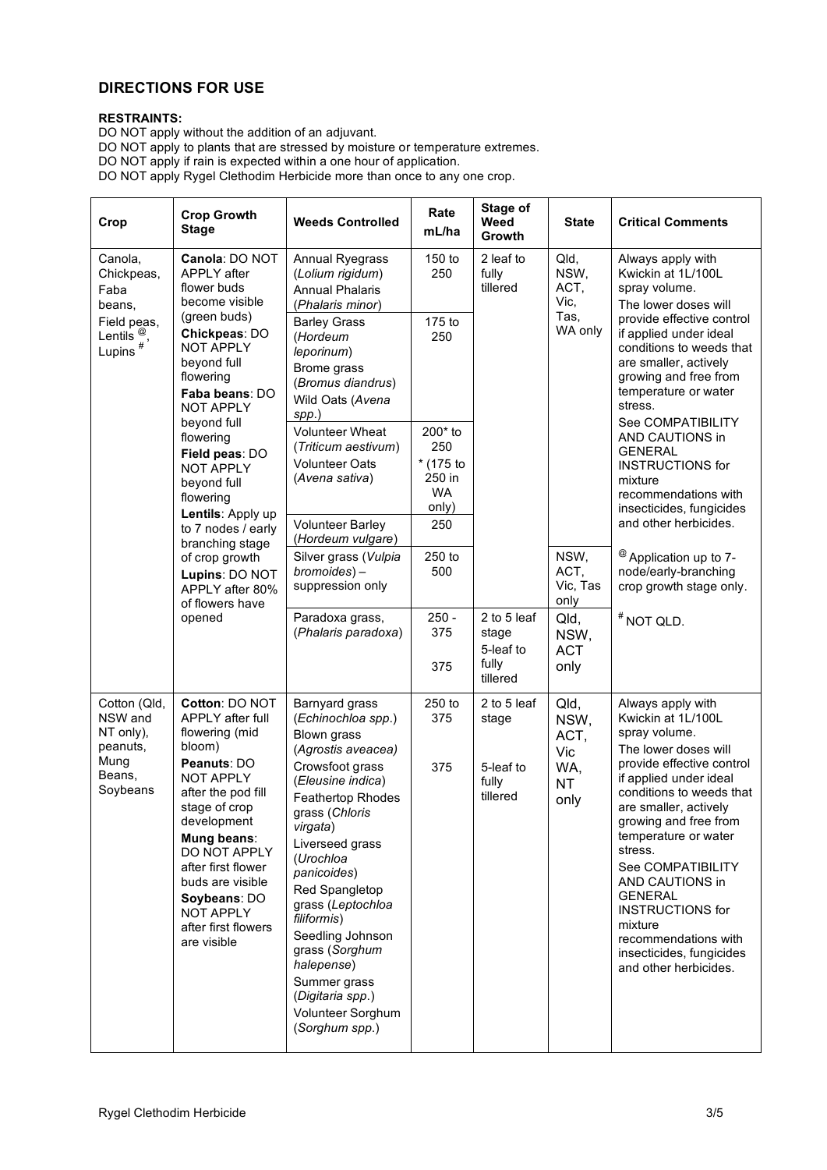# **DIRECTIONS FOR USE**

# **RESTRAINTS:**

DO NOT apply without the addition of an adjuvant. DO NOT apply to plants that are stressed by moisture or temperature extremes. DO NOT apply if rain is expected within a one hour of application. DO NOT apply Rygel Clethodim Herbicide more than once to any one crop.

| Crop                                                                                                                                                                                                                                                                                                                                                                                                                                                                                                                                          | <b>Crop Growth</b><br><b>Stage</b>                                                                                                                                                                                                                                                                         | <b>Weeds Controlled</b>                                                                                                                                                                                                                                                                    | Rate<br>mL/ha                                               | Stage of<br>Weed<br>Growth                 | <b>State</b>                                    | <b>Critical Comments</b>                                                                                                                                                                                                                                                                                                                                                                                                              |
|-----------------------------------------------------------------------------------------------------------------------------------------------------------------------------------------------------------------------------------------------------------------------------------------------------------------------------------------------------------------------------------------------------------------------------------------------------------------------------------------------------------------------------------------------|------------------------------------------------------------------------------------------------------------------------------------------------------------------------------------------------------------------------------------------------------------------------------------------------------------|--------------------------------------------------------------------------------------------------------------------------------------------------------------------------------------------------------------------------------------------------------------------------------------------|-------------------------------------------------------------|--------------------------------------------|-------------------------------------------------|---------------------------------------------------------------------------------------------------------------------------------------------------------------------------------------------------------------------------------------------------------------------------------------------------------------------------------------------------------------------------------------------------------------------------------------|
| Canola: DO NOT<br>Canola,<br>APPLY after<br>Chickpeas,<br>flower buds<br>Faba<br>become visible<br>beans,<br>(green buds)<br>Field peas,<br>Chickpeas: DO<br>Lentils $^{\circledR}$ ,<br>Lupins $^{\#}$<br><b>NOT APPLY</b><br>beyond full<br>flowering<br>Faba beans: DO<br><b>NOT APPLY</b><br>beyond full<br>flowering<br>Field peas: DO<br><b>NOT APPLY</b><br>beyond full<br>flowering<br>Lentils: Apply up<br>to 7 nodes / early<br>branching stage<br>of crop growth<br>Lupins: DO NOT<br>APPLY after 80%<br>of flowers have<br>opened |                                                                                                                                                                                                                                                                                                            | Annual Ryegrass<br>(Lolium rigidum)<br><b>Annual Phalaris</b><br>(Phalaris minor)                                                                                                                                                                                                          | 150 to<br>250                                               | 2 leaf to<br>fully<br>tillered             | Qld,<br>NSW,<br>ACT,<br>Vic,                    | Always apply with<br>Kwickin at 1L/100L<br>spray volume.<br>The lower doses will<br>provide effective control<br>if applied under ideal<br>conditions to weeds that<br>are smaller, actively<br>growing and free from<br>temperature or water<br>stress.<br>See COMPATIBILITY<br>AND CAUTIONS in<br><b>GENERAL</b><br><b>INSTRUCTIONS for</b><br>mixture<br>recommendations with<br>insecticides, fungicides<br>and other herbicides. |
|                                                                                                                                                                                                                                                                                                                                                                                                                                                                                                                                               |                                                                                                                                                                                                                                                                                                            | <b>Barley Grass</b><br>(Hordeum<br>leporinum)<br>Brome grass<br>(Bromus diandrus)<br>Wild Oats (Avena<br>spp.)                                                                                                                                                                             | 175 to<br>250                                               |                                            | Tas,<br>WA only                                 |                                                                                                                                                                                                                                                                                                                                                                                                                                       |
|                                                                                                                                                                                                                                                                                                                                                                                                                                                                                                                                               |                                                                                                                                                                                                                                                                                                            | <b>Volunteer Wheat</b><br>(Triticum aestivum)<br><b>Volunteer Oats</b><br>(Avena sativa)                                                                                                                                                                                                   | 200* to<br>250<br>* (175 to<br>250 in<br><b>WA</b><br>only) |                                            |                                                 |                                                                                                                                                                                                                                                                                                                                                                                                                                       |
|                                                                                                                                                                                                                                                                                                                                                                                                                                                                                                                                               |                                                                                                                                                                                                                                                                                                            | <b>Volunteer Barley</b><br>(Hordeum vulgare)                                                                                                                                                                                                                                               | 250                                                         |                                            |                                                 |                                                                                                                                                                                                                                                                                                                                                                                                                                       |
|                                                                                                                                                                                                                                                                                                                                                                                                                                                                                                                                               |                                                                                                                                                                                                                                                                                                            | Silver grass (Vulpia<br>bromoides)-<br>suppression only                                                                                                                                                                                                                                    | 250 to<br>500                                               |                                            | NSW,<br>ACT,<br>Vic, Tas<br>only                | <sup>@</sup> Application up to 7-<br>node/early-branching<br>crop growth stage only.                                                                                                                                                                                                                                                                                                                                                  |
|                                                                                                                                                                                                                                                                                                                                                                                                                                                                                                                                               | Paradoxa grass,<br>(Phalaris paradoxa)                                                                                                                                                                                                                                                                     | $250 -$<br>375<br>375                                                                                                                                                                                                                                                                      | 2 to 5 leaf<br>stage<br>5-leaf to<br>fully<br>tillered      | Qld,<br>NSW,<br><b>ACT</b><br>only         | # NOT QLD.                                      |                                                                                                                                                                                                                                                                                                                                                                                                                                       |
| Cotton (Qld,<br>NSW and<br>NT only),<br>peanuts,<br>Mung<br>Beans,<br>Soybeans                                                                                                                                                                                                                                                                                                                                                                                                                                                                | Cotton: DO NOT<br>APPLY after full<br>flowering (mid<br>bloom)<br>Peanuts: DO<br><b>NOT APPLY</b><br>after the pod fill<br>stage of crop<br>development<br>Mung beans:<br>DO NOT APPLY<br>after first flower<br>buds are visible<br>Soybeans: DO<br><b>NOT APPLY</b><br>after first flowers<br>are visible | Barnyard grass<br>(Echinochloa spp.)<br>Blown grass<br>(Agrostis aveacea)<br>Crowsfoot grass<br>(Eleusine indica)                                                                                                                                                                          | 250 to<br>375<br>375                                        | 2 to 5 leaf<br>stage<br>5-leaf to<br>fully | Qld,<br>NSW,<br>ACT,<br>Vic<br>WA,<br><b>NT</b> | Always apply with<br>Kwickin at 1L/100L<br>spray volume.<br>The lower doses will<br>provide effective control<br>if applied under ideal                                                                                                                                                                                                                                                                                               |
|                                                                                                                                                                                                                                                                                                                                                                                                                                                                                                                                               |                                                                                                                                                                                                                                                                                                            | <b>Feathertop Rhodes</b><br>grass (Chloris<br>virgata)<br>Liverseed grass<br>(Urochloa<br>panicoides)<br>Red Spangletop<br>grass (Leptochloa<br>filiformis)<br>Seedling Johnson<br>grass (Sorghum<br>halepense)<br>Summer grass<br>(Digitaria spp.)<br>Volunteer Sorghum<br>(Sorghum spp.) |                                                             | tillered                                   | only                                            | conditions to weeds that<br>are smaller, actively<br>growing and free from<br>temperature or water<br>stress.<br>See COMPATIBILITY<br>AND CAUTIONS in<br><b>GENERAL</b><br><b>INSTRUCTIONS for</b><br>mixture<br>recommendations with<br>insecticides, fungicides<br>and other herbicides.                                                                                                                                            |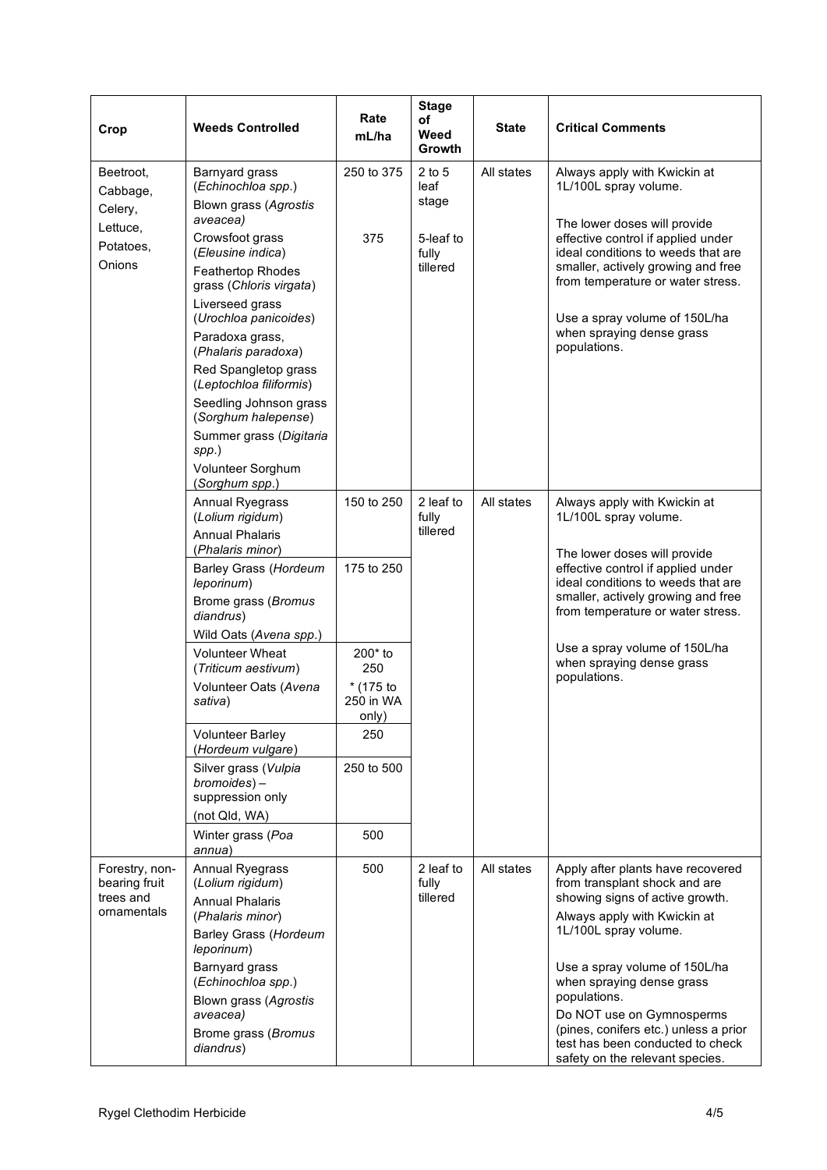| Crop                                                        | <b>Weeds Controlled</b>                                                   | Rate<br>mL/ha                     | <b>Stage</b><br>of<br>Weed<br>Growth | <b>State</b> | <b>Critical Comments</b>                                                                                                                                                                                                          |
|-------------------------------------------------------------|---------------------------------------------------------------------------|-----------------------------------|--------------------------------------|--------------|-----------------------------------------------------------------------------------------------------------------------------------------------------------------------------------------------------------------------------------|
| Beetroot,<br>Cabbage,<br>Celery,<br>Lettuce,                | Barnyard grass<br>(Echinochloa spp.)<br>Blown grass (Agrostis<br>aveacea) | 250 to 375                        | $2$ to 5<br>leaf<br>stage            | All states   | Always apply with Kwickin at<br>1L/100L spray volume.<br>The lower doses will provide                                                                                                                                             |
| Potatoes,<br>Onions                                         | Crowsfoot grass<br>(Eleusine indica)                                      | 375                               | 5-leaf to<br>fully<br>tillered       |              | effective control if applied under<br>ideal conditions to weeds that are<br>smaller, actively growing and free<br>from temperature or water stress.<br>Use a spray volume of 150L/ha<br>when spraying dense grass<br>populations. |
|                                                             | Feathertop Rhodes<br>grass (Chloris virgata)                              |                                   |                                      |              |                                                                                                                                                                                                                                   |
|                                                             | Liverseed grass<br>(Urochloa panicoides)                                  |                                   |                                      |              |                                                                                                                                                                                                                                   |
|                                                             | Paradoxa grass,<br>(Phalaris paradoxa)                                    |                                   |                                      |              |                                                                                                                                                                                                                                   |
|                                                             | Red Spangletop grass<br>(Leptochloa filiformis)                           |                                   |                                      |              |                                                                                                                                                                                                                                   |
|                                                             | Seedling Johnson grass<br>(Sorghum halepense)                             |                                   |                                      |              |                                                                                                                                                                                                                                   |
|                                                             | Summer grass (Digitaria<br>$spp.$ )<br>Volunteer Sorghum                  |                                   |                                      |              |                                                                                                                                                                                                                                   |
|                                                             | (Sorghum spp.)                                                            |                                   |                                      |              |                                                                                                                                                                                                                                   |
|                                                             | Annual Ryegrass<br>(Lolium rigidum)                                       | 150 to 250<br>175 to 250          | 2 leaf to<br>fully<br>tillered       | All states   | Always apply with Kwickin at<br>1L/100L spray volume.                                                                                                                                                                             |
|                                                             | <b>Annual Phalaris</b><br>(Phalaris minor)                                |                                   |                                      |              | The lower doses will provide                                                                                                                                                                                                      |
|                                                             | Barley Grass (Hordeum<br>leporinum)                                       |                                   |                                      |              | effective control if applied under<br>ideal conditions to weeds that are                                                                                                                                                          |
|                                                             | Brome grass (Bromus<br>diandrus)                                          |                                   |                                      |              | smaller, actively growing and free<br>from temperature or water stress.                                                                                                                                                           |
|                                                             | Wild Oats (Avena spp.)                                                    |                                   |                                      |              | Use a spray volume of 150L/ha                                                                                                                                                                                                     |
|                                                             | <b>Volunteer Wheat</b><br>(Triticum aestivum)                             | 200* to<br>250                    |                                      |              | when spraying dense grass                                                                                                                                                                                                         |
|                                                             | Volunteer Oats (Avena<br>sativa)                                          | $*$ (175 to<br>250 in WA<br>only) |                                      |              | populations.                                                                                                                                                                                                                      |
|                                                             | <b>Volunteer Barley</b><br>(Hordeum vulgare)                              | 250                               |                                      |              |                                                                                                                                                                                                                                   |
|                                                             | Silver grass (Vulpia<br>$b$ romoides $)$ –<br>suppression only            | 250 to 500                        |                                      |              |                                                                                                                                                                                                                                   |
|                                                             | (not Qld, WA)                                                             |                                   |                                      |              |                                                                                                                                                                                                                                   |
|                                                             | Winter grass (Poa<br>annua)                                               | 500                               |                                      |              |                                                                                                                                                                                                                                   |
| Forestry, non-<br>bearing fruit<br>trees and<br>ornamentals | Annual Ryegrass<br>(Lolium rigidum)                                       | 500                               | 2 leaf to<br>fully<br>tillered       | All states   | Apply after plants have recovered<br>from transplant shock and are<br>showing signs of active growth.                                                                                                                             |
|                                                             | <b>Annual Phalaris</b><br>(Phalaris minor)                                |                                   |                                      |              | Always apply with Kwickin at                                                                                                                                                                                                      |
|                                                             | Barley Grass (Hordeum<br>leporinum)                                       |                                   |                                      |              | 1L/100L spray volume.                                                                                                                                                                                                             |
|                                                             | Barnyard grass<br>(Echinochloa spp.)                                      |                                   |                                      |              | Use a spray volume of 150L/ha<br>when spraying dense grass<br>populations.                                                                                                                                                        |
|                                                             | Blown grass (Agrostis<br>aveacea)                                         |                                   |                                      |              | Do NOT use on Gymnosperms                                                                                                                                                                                                         |
|                                                             | Brome grass (Bromus<br>diandrus)                                          |                                   |                                      |              | (pines, conifers etc.) unless a prior<br>test has been conducted to check<br>safety on the relevant species.                                                                                                                      |